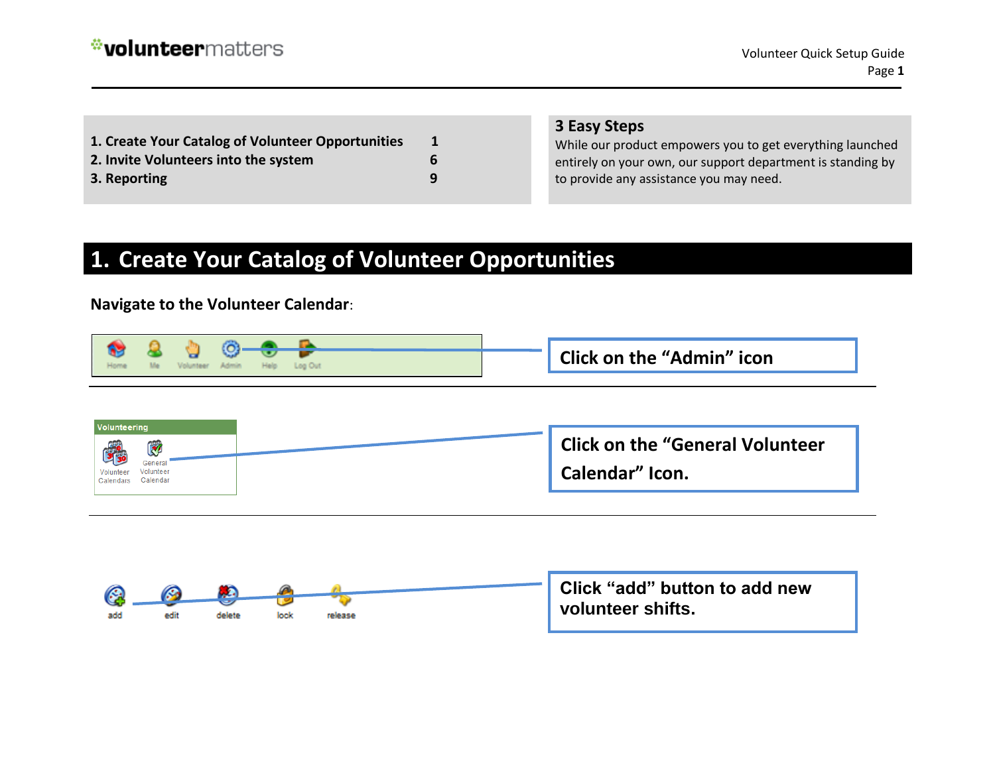|                                                   | <b>3 Easy Steps</b>                                         |
|---------------------------------------------------|-------------------------------------------------------------|
| 1. Create Your Catalog of Volunteer Opportunities | While our product empowers you to get everything launched   |
| 2. Invite Volunteers into the system              | entirely on your own, our support department is standing by |
| 3. Reporting                                      | to provide any assistance you may need.                     |
|                                                   |                                                             |

# **1. Create Your Catalog of Volunteer Opportunities**

### **Navigate to the Volunteer Calendar**:



| Volunteering                      |                                        |
|-----------------------------------|----------------------------------------|
| W<br>۶З                           | <b>Click on the "General Volunteer</b> |
| General<br>Volunteer<br>Volunteer | Calendar" Icon.                        |
| Calendar<br>Calendars             |                                        |

| G |         |         | Click "add" button to add new |  |
|---|---------|---------|-------------------------------|--|
|   | delete. | release | volunteer shifts.             |  |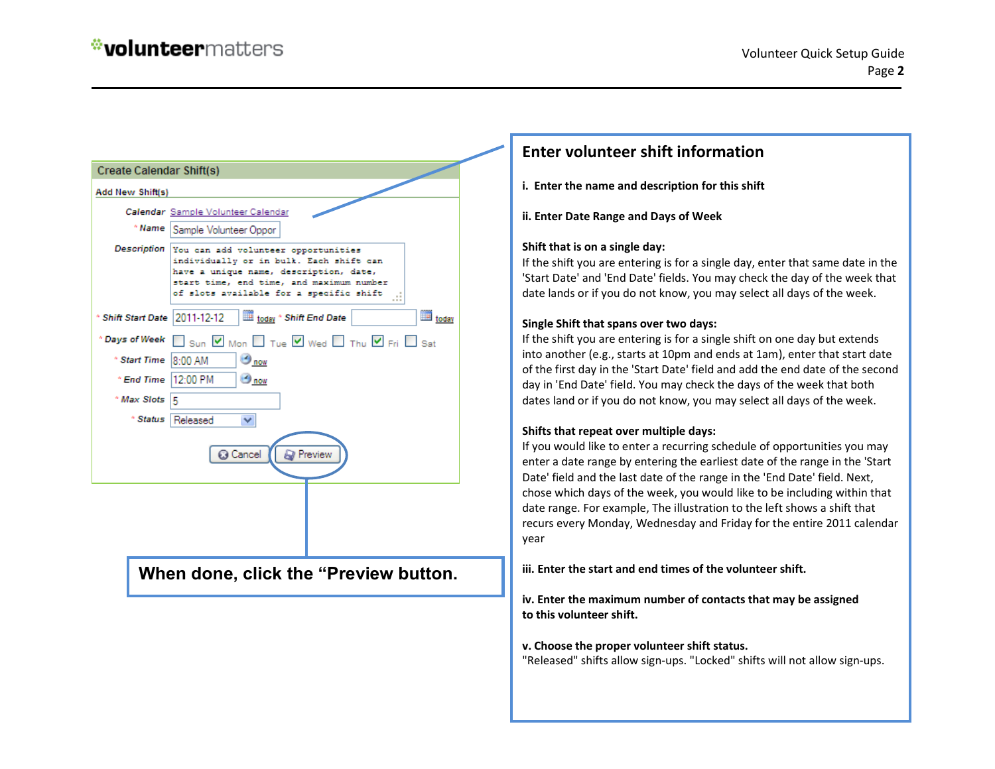

## **Enter volunteer shift information**

- **i. Enter the name and description for this shift**
- **ii. Enter Date Range and Days of Week**

#### **Shift that is on a single day:**

If the shift you are entering is for a single day, enter that same date in the 'Start Date' and 'End Date' fields. You may check the day of the week that date lands or if you do not know, you may select all days of the week.

#### **Single Shift that spans over two days:**

If the shift you are entering is for a single shift on one day but extends into another (e.g., starts at 10pm and ends at 1am), enter that start date of the first day in the 'Start Date' field and add the end date of the second day in 'End Date' field. You may check the days of the week that both dates land or if you do not know, you may select all days of the week.

#### **Shifts that repeat over multiple days:**

If you would like to enter a recurring schedule of opportunities you may enter a date range by entering the earliest date of the range in the 'Start Date' field and the last date of the range in the 'End Date' field. Next, chose which days of the week, you would like to be including within that date range. For example, The illustration to the left shows a shift that recurs every Monday, Wednesday and Friday for the entire 2011 calendar year

**iii. Enter the start and end times of the volunteer shift.**

**iv. Enter the maximum number of contacts that may be assigned to this volunteer shift.**

#### **v. Choose the proper volunteer shift status.**

"Released" shifts allow sign‐ups. "Locked" shifts will not allow sign‐ups.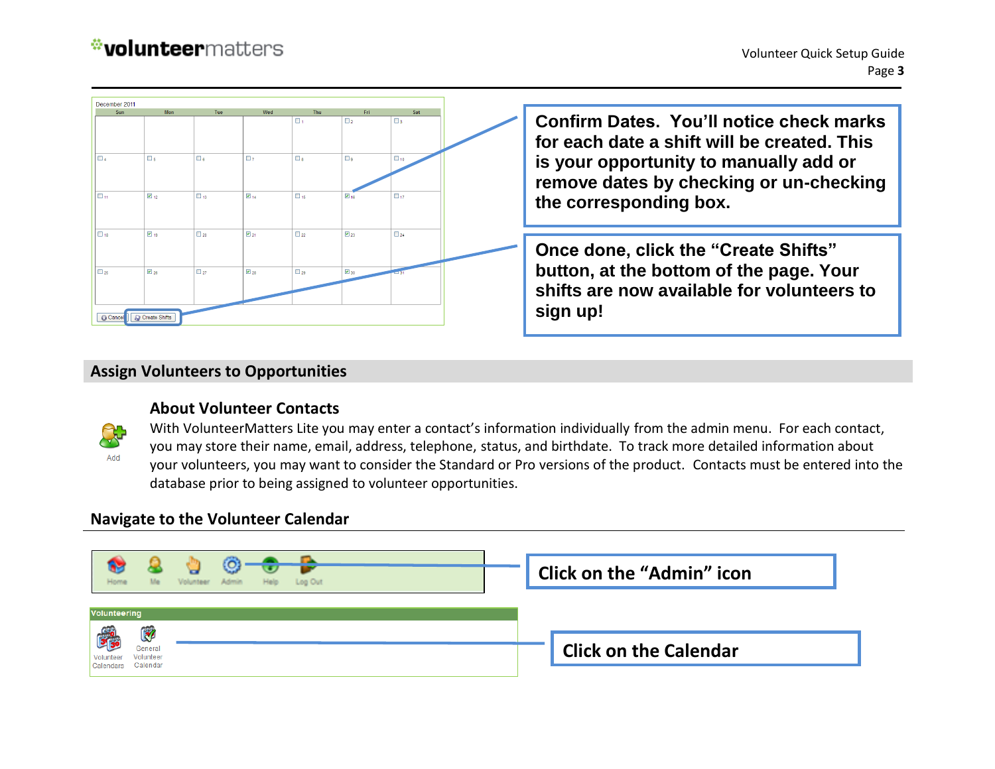# wolunteermatters



### **Assign Volunteers to Opportunities**



Add

### **About Volunteer Contacts**

With VolunteerMatters Lite you may enter a contact's information individually from the admin menu. For each contact, you may store their name, email, address, telephone, status, and birthdate. To track more detailed information about your volunteers, you may want to consider the Standard or Pro versions of the product. Contacts must be entered into the database prior to being assigned to volunteer opportunities.

### **Navigate to the Volunteer Calendar**

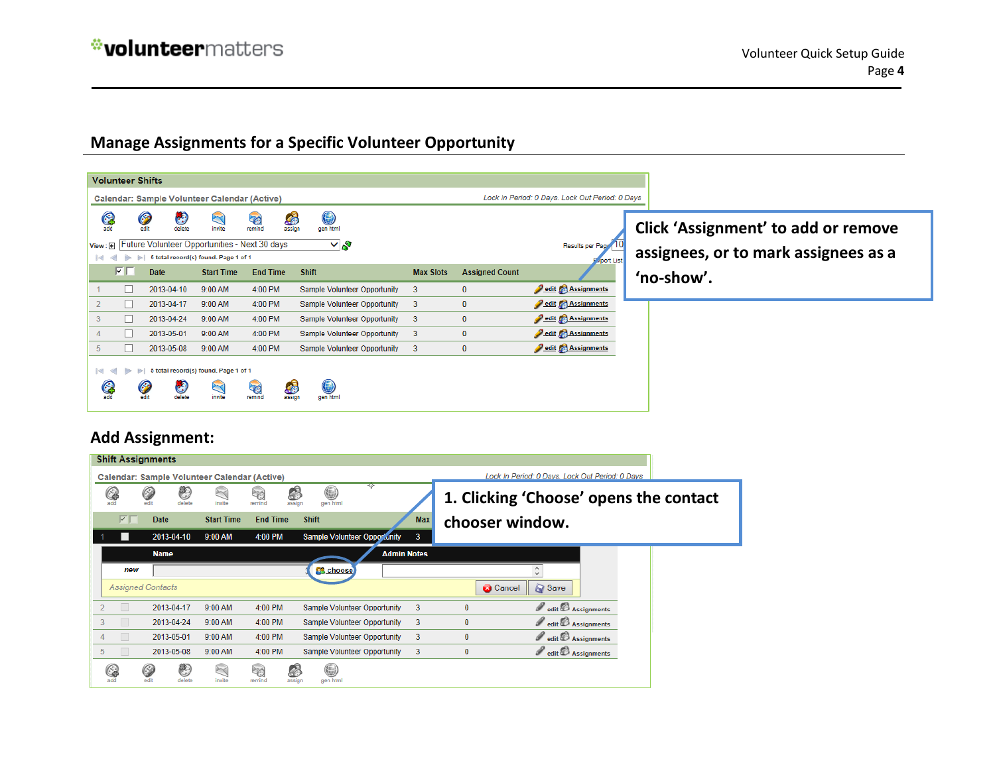# **Manage Assignments for a Specific Volunteer Opportunity**

|                                               | <b>Volunteer Shifts</b> |                                                                                 |                                                                         |                              |                                                |                  |                       |                                                 |                                                                             |
|-----------------------------------------------|-------------------------|---------------------------------------------------------------------------------|-------------------------------------------------------------------------|------------------------------|------------------------------------------------|------------------|-----------------------|-------------------------------------------------|-----------------------------------------------------------------------------|
|                                               |                         | Calendar: Sample Volunteer Calendar (Active)                                    |                                                                         |                              |                                                |                  |                       | Lock In Period: 0 Days. Lock Out Period: 0 Days |                                                                             |
| $\odot$ <sub>add</sub><br>$\lvert \ll \lvert$ |                         | S<br>G<br>delete<br>edit<br>View: Future Volunteer Opportunities - Next 30 days | $\blacktriangleright$<br>invite<br>5 total record(s) found. Page 1 of 1 | C<br>ZC.<br>remind<br>assign | $\bigcirc$<br>gen html<br>$\vee$ $\mathcal{S}$ |                  |                       | Results per Page<br>oort List                   | Click 'Assignment' to add or remove<br>assignees, or to mark assignees as a |
|                                               | FГ                      | <b>Date</b>                                                                     | <b>Start Time</b>                                                       | <b>End Time</b>              | <b>Shift</b>                                   | <b>Max Slots</b> | <b>Assigned Count</b> |                                                 | 'no-show'.                                                                  |
|                                               |                         | 2013-04-10                                                                      | 9:00 AM                                                                 | 4:00 PM                      | Sample Volunteer Opportunity                   | 3                | $\bf{0}$              | edit Assignments                                |                                                                             |
|                                               |                         | 2013-04-17                                                                      | 9:00 AM                                                                 | 4:00 PM                      | Sample Volunteer Opportunity                   | 3                | $\mathbf{0}$          | edit Assignments                                |                                                                             |
|                                               |                         | 2013-04-24                                                                      | 9:00 AM                                                                 | 4:00 PM                      | Sample Volunteer Opportunity                   | -3               | $\mathbf{0}$          | edit Assignments                                |                                                                             |
|                                               |                         | 2013-05-01                                                                      | 9:00 AM                                                                 | 4:00 PM                      | Sample Volunteer Opportunity                   | -3               | $\bf{0}$              | edit Assignments                                |                                                                             |
|                                               |                         | 2013-05-08                                                                      | 9:00 AM                                                                 | 4:00 PM                      | Sample Volunteer Opportunity                   | -3               | $\bf{0}$              | edit Assignments                                |                                                                             |
| l∢ ⊰l<br>S                                    | n.                      | ₩<br>۵<br>delete<br>edit                                                        | 5 total record(s) found. Page 1 of 1<br>$\boxtimes$<br>invite           | C<br>76<br>remino<br>assign  | gen html                                       |                  |                       |                                                 |                                                                             |

# **Add Assignment:**

| <b>Shift Assignments</b>                                                                        |                                                 |                          |                                     |                 |        |                                     |                    |            |              |                                        |  |  |
|-------------------------------------------------------------------------------------------------|-------------------------------------------------|--------------------------|-------------------------------------|-----------------|--------|-------------------------------------|--------------------|------------|--------------|----------------------------------------|--|--|
| Lock In Period: 0 Days. Lock Out Period: 0 Days<br>Calendar: Sample Volunteer Calendar (Active) |                                                 |                          |                                     |                 |        |                                     |                    |            |              |                                        |  |  |
|                                                                                                 | G<br>add                                        | G<br>edit                | €<br>×<br>delete<br>invite          | 3<br>remind     | assign | 6<br>gen html                       | ×.                 |            |              | 1. Clicking 'Choose' opens the contact |  |  |
|                                                                                                 | $\overline{\triangledown}$ $\overline{\square}$ | <b>Date</b>              | <b>Start Time</b>                   | <b>End Time</b> |        | <b>Shift</b>                        |                    | <b>Max</b> |              | chooser window.                        |  |  |
|                                                                                                 | ▁                                               | 2013-04-10               | 9:00 AM                             | 4:00 PM         |        | <b>Sample Volunteer Opportunity</b> |                    | 3          |              |                                        |  |  |
|                                                                                                 |                                                 | <b>Name</b>              |                                     |                 |        |                                     | <b>Admin Notes</b> |            |              |                                        |  |  |
|                                                                                                 | new                                             |                          |                                     |                 |        | <b>B</b> choose                     |                    |            |              |                                        |  |  |
|                                                                                                 |                                                 | <b>Assigned Contacts</b> |                                     |                 |        |                                     |                    |            |              | <b>Cancel</b><br><b>R</b> Save         |  |  |
|                                                                                                 | L                                               | 2013-04-17               | 9:00 AM                             | 4:00 PM         |        | <b>Sample Volunteer Opportunity</b> |                    | -3         | $\bf{0}$     | Pedit & Assignments                    |  |  |
|                                                                                                 | 3                                               | 2013-04-24               | 9:00 AM                             | 4:00 PM         |        | Sample Volunteer Opportunity        |                    | 3          | $\mathbf{0}$ | Pedit & Assignments                    |  |  |
|                                                                                                 | $\Box$                                          | 2013-05-01               | 9:00 AM                             | 4:00 PM         |        | <b>Sample Volunteer Opportunity</b> |                    | 3          | $\bf{0}$     | $P_{\text{edit}}$ Assignments          |  |  |
|                                                                                                 | п<br>5 <sup>5</sup>                             | 2013-05-08               | 9:00 AM                             | 4:00 PM         |        | Sample Volunteer Opportunity        |                    | 3          | $\bf{0}$     | Pedit & Assignments                    |  |  |
|                                                                                                 | G<br>add                                        | G<br>edit                | C<br>$\searrow$<br>delete<br>invite | 3<br>remind     | assign | 6<br>gen html                       |                    |            |              |                                        |  |  |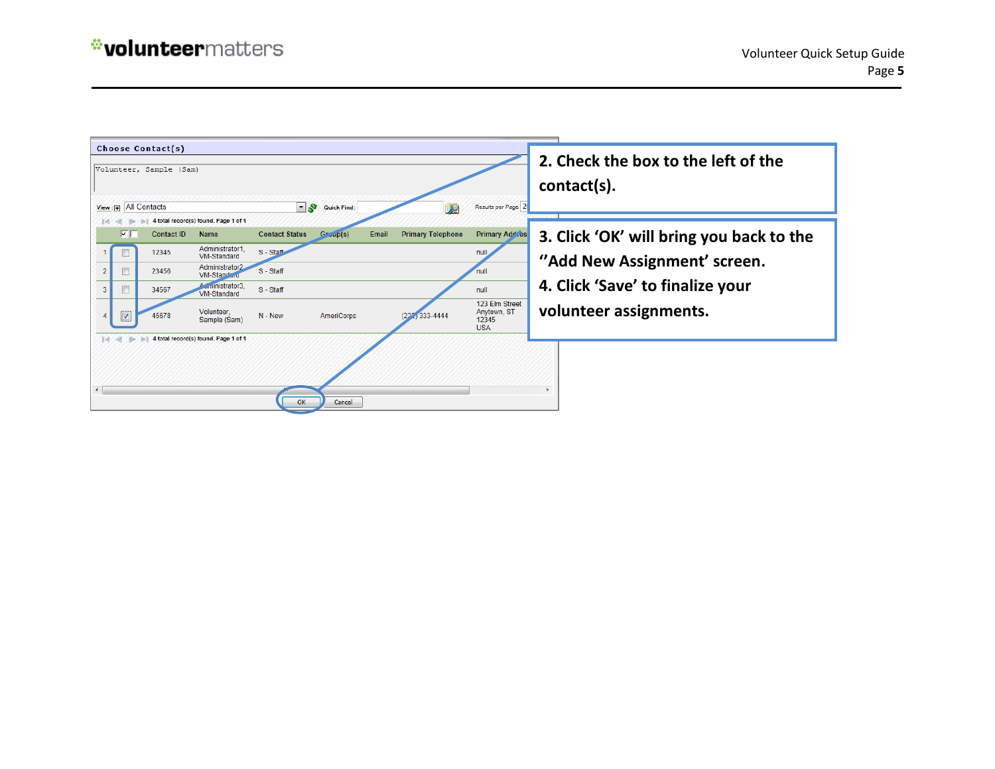|                |                         | Choose Contact(s)<br>Volunteer, Sample (Sam)<br>View: F   All Contacts |                                           | $\blacksquare$        | <b>Quick Find:</b>            |       |                          | Results per Page 2                                   | 2. Check the box to the left of the<br>contact(s). |
|----------------|-------------------------|------------------------------------------------------------------------|-------------------------------------------|-----------------------|-------------------------------|-------|--------------------------|------------------------------------------------------|----------------------------------------------------|
|                |                         |                                                                        | 4 total record(s) found. Page 1 of 1      |                       |                               |       |                          |                                                      |                                                    |
|                | न                       | <b>Contact ID</b>                                                      | <b>Name</b>                               | <b>Contact Status</b> | $Gr \subset \mathfrak{sp}(s)$ | Email | <b>Primary Telephone</b> | Primary Add es                                       | 3. Click 'OK' will bring you back to the           |
|                |                         | 12345                                                                  | Administrator1,<br>VM-Standard            | S - Staff             |                               |       |                          | null                                                 |                                                    |
| $\overline{2}$ | $\Box$                  | 23456                                                                  | Administrator <sub>2</sub><br>VM-Standard | S - Staff             |                               |       |                          | null                                                 | "Add New Assignment' screen.                       |
| $\overline{3}$ | $\blacksquare$          | 34567                                                                  | Administrator3,<br>VM-Standard            | S - Staff             |                               |       |                          | null                                                 | 4. Click 'Save' to finalize your                   |
| $\overline{4}$ | $\overline{\mathsf{v}}$ | 45678                                                                  | Volunteer.<br>Sample (Sam)                | N - New               | AmeriCorps                    |       | $(22^2)$ 333-4444        | 123 Elm Street<br>Anytown, ST<br>12345<br><b>USA</b> | volunteer assignments.                             |
| $\blacksquare$ |                         |                                                                        | 4 total record(s) found. Page 1 of 1      | <b>OK</b>             | Cancel                        |       |                          |                                                      |                                                    |

<u> 1980 - Andrea Station Andrea Station (m. 1980)</u>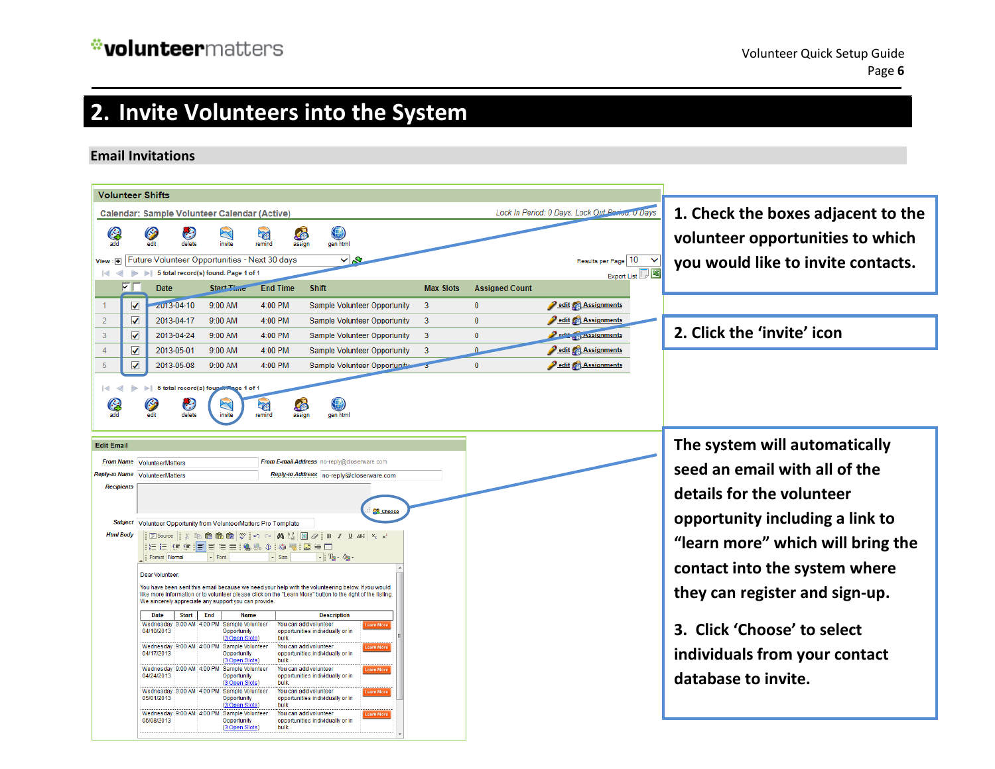# **2. Invite Volunteers into the System**

#### **Email Invitations**

|                   | <b>Volunteer Shifts</b>                                                                                                                                                             |                         |                       |                                                 |                                    |
|-------------------|-------------------------------------------------------------------------------------------------------------------------------------------------------------------------------------|-------------------------|-----------------------|-------------------------------------------------|------------------------------------|
|                   | Calendar: Sample Volunteer Calendar (Active)                                                                                                                                        |                         |                       | Lock In Period: 0 Days. Lock Out Period. 0 Days | 1. Check the boxes adjacent to the |
| G                 | O<br>$\bigcirc$<br>$\cdot$<br>$\mathbf{G}$<br>L C                                                                                                                                   |                         |                       |                                                 |                                    |
| add               | gen html<br>delete<br>invite<br>remind<br>assign                                                                                                                                    |                         |                       |                                                 | volunteer opportunities to which   |
|                   | view: Fil Future Volunteer Opportunities - Next 30 days<br>VI.S<br>> 5 total record(s) found. Page 1 of 1<br>Þ                                                                      |                         |                       | Results per Page 10<br>Export List              | you would like to invite contacts. |
| EГ                | Date<br>Start Time<br><b>Shift</b><br><b>End Time</b>                                                                                                                               | <b>Max Slots</b>        | <b>Assigned Count</b> |                                                 |                                    |
| $\mathbf{1}$      | $\blacktriangledown$<br>$2013 - 04 - 10$<br>9:00 AM<br>4:00 PM<br>Sample Volunteer Opportunity                                                                                      | -3                      | $\mathbf{0}$          | edit Assignments                                |                                    |
| $\overline{2}$    | $\blacktriangledown$<br>2013-04-17<br>9:00 AM<br>4:00 PM<br>Sample Volunteer Opportunity                                                                                            | -3                      | $\mathbf{0}$          | edit Assignments                                |                                    |
| 3                 | $\blacktriangledown$<br>2013-04-24<br>$9:00$ AM<br>4:00 PM<br>Sample Volunteer Opportunity                                                                                          | $\overline{\mathbf{3}}$ | $\mathbf{0}$          | edit RSSignments                                | 2. Click the 'invite' icon         |
| $\Delta$          | $\blacktriangledown$<br>2013-05-01<br>9:00 AM<br>4:00 PM<br>Sample Volunteer Opportunity                                                                                            | 3                       |                       | <b>Pedit Assignments</b>                        |                                    |
| 5                 | ✔<br>2013-05-08<br>9:00 AM<br>4:00 PM<br>Sample Volunteer Opportunity                                                                                                               |                         | $\mathbf{0}$          | edit Assignments                                |                                    |
|                   | 5 total record(s) found Rage 1 of 1                                                                                                                                                 |                         |                       |                                                 |                                    |
| Q                 | ۳<br><b>CO</b><br>$\mathbb{Z}$<br>SO                                                                                                                                                |                         |                       |                                                 |                                    |
|                   | delete<br>remind<br>assign<br>gen html                                                                                                                                              |                         |                       |                                                 |                                    |
| <b>Edit Email</b> |                                                                                                                                                                                     |                         |                       |                                                 | The system will automatically      |
|                   | From E-mail Address no-reply@closerware.com<br>From Name VolunteerMatters                                                                                                           |                         |                       |                                                 | seed an email with all of the      |
|                   | Reply-to Name VolunteerMatters<br>Reply-to Address no-reply@closerware.com                                                                                                          |                         |                       |                                                 |                                    |
| <b>Recipients</b> |                                                                                                                                                                                     |                         |                       |                                                 | details for the volunteer          |
|                   | <b>Choose</b>                                                                                                                                                                       |                         |                       |                                                 | opportunity including a link to    |
| <b>Html Body</b>  | Subject Volunteer Opportunity from VolunteerMatters Pro Template<br><b>追随的ツの~纳集团クBIUARXx2</b><br>图 Source    ※ 酯                                                                    |                         |                       |                                                 |                                    |
|                   | 日日  伊伊  国王君目  鳴鳴ゆ  ◎  嘲  図漫画                                                                                                                                                        |                         |                       |                                                 | "learn more" which will bring the  |
|                   | $-1$ , $\alpha$<br>Format Normal<br>$\overline{\phantom{a}}$ Font<br>$\overline{\phantom{a}}$ Size                                                                                  |                         |                       |                                                 | contact into the system where      |
|                   | <b>Dear Volunteer</b><br>You have been sent this email because we need your help with the volunteering below. If you would                                                          |                         |                       |                                                 |                                    |
|                   | like more information or to volunteer please click on the "Learn More" button to the right of the listing.<br>We sincerely appreciate any support you can provide.                  |                         |                       |                                                 | they can register and sign-up.     |
|                   | <b>Start</b><br>End<br><b>Date</b><br><b>Name</b><br><b>Description</b><br>Wednesday 9:00 AM 4:00 PM Sample Volunteer                                                               |                         |                       |                                                 |                                    |
|                   | You can add volunteer<br><b>Learn More</b><br>04/10/2013<br>opportunities individually or in<br>Opportunity<br>(3 Open Slots)<br>bulk.                                              |                         |                       |                                                 | 3. Click 'Choose' to select        |
|                   | Wednesday 9:00 AM 4:00 PM Sample Volunteer<br>You can add volunteer<br><b>Learn More</b><br>04/17/2013<br>opportunities individually or in<br>Opportunity                           |                         |                       |                                                 | individuals from your contact      |
|                   | (3 Open Slots)<br>bulk<br>Wednesday 9:00 AM 4:00 PM Sample Volunteer<br>You can add volunteer<br><b>Learn More</b><br>04/24/2013<br>opportunities individually or in<br>Opportunity |                         |                       |                                                 |                                    |
|                   | bulk<br>(3 Open Slots<br>Wednesday 9:00 AM 4:00 PM Sample Volunteer<br>You can add volunteer<br><b>Learn More</b>                                                                   |                         |                       |                                                 | database to invite.                |
|                   | 05/01/2013<br>opportunities individually or in<br>Opportunity<br>(3 Open Slots)<br>bulk                                                                                             |                         |                       |                                                 |                                    |
|                   | Wednesday 9:00 AM 4:00 PM Sample Volunteer<br>You can add volunteer<br><b>Learn More</b><br>05/08/2013<br>opportunities individually or in<br>Opportunity                           |                         |                       |                                                 |                                    |
|                   | (3 Open Slots)<br>bulk                                                                                                                                                              |                         |                       |                                                 |                                    |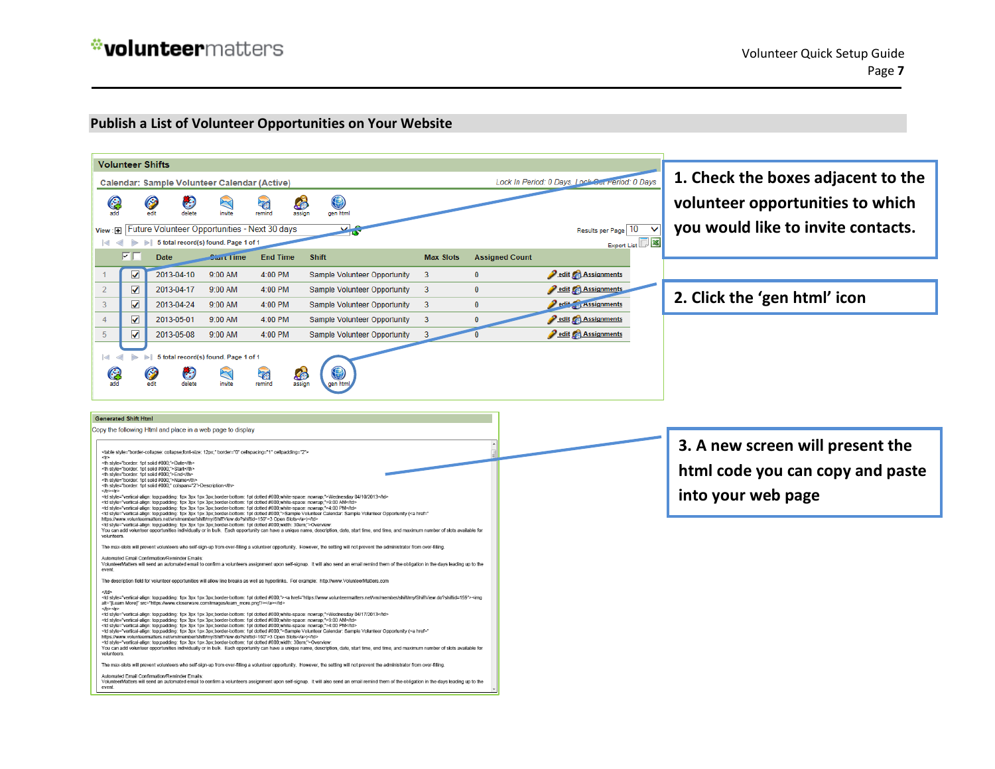#### **Publish a List of Volunteer Opportunities on Your Website Volunteer Shifts 1. Check the boxes adjacent to the**  Lock In Period: 0 Days. Lock Out Period: 0 Days Calendar: Sample Volunteer Calendar (Active) G **volunteer opportunities to which**  Q ☞  $\mathbf{C}$  $\boxtimes$ P.  $\bigcirc$ gen html remind assign **you would like to invite contacts.** view: Future Volunteer Opportunities - Next 30 days Results per Page 10 ی س Export List |<| <| > > > 5 total record(s) found. Page 1 of 1 FГ **Date** Start Time **End Time** Shift **Max Slots Assigned Count**  $\blacktriangledown$ 2013-04-10 9:00 AM edit & Assignments  $\mathbf{1}$ 4:00 PM Sample Volunteer Opportunity  $\overline{3}$  $\bf{0}$  $\overline{2}$  $\blacktriangledown$ 2013-04-17 9:00 AM 4:00 PM Sample Volunteer Opportunity  $\overline{3}$  $\mathbf{0}$ edit & Assignments **2. Click the 'gen html' icon**  $\overline{3}$  $\blacktriangledown$ edit Rissignments 2013-04-24 9:00 AM 4:00 PM Sample Volunteer Opportunity  $\overline{3}$  $\bf{0}$ **Pedit Assignments**  $\overline{4}$  $\blacktriangledown$ 2013-05-01 9:00 AM 4:00 PM Sample Volunteer Opportunity  $\overline{3}$  $\bf{0}$  $\overline{5}$  $\blacktriangledown$ 2013-05-08 9:00 AM 4:00 PM **Pedit Assignments** Sample Volunteer Opportunity  $\overline{3}$  $\overline{0}$ |<| <| > > 5 total record(s) found. Page 1 of 1  $\bigcirc$ **Cap**<br>add G €  $\mathbb Z$ PG. **Sep** invite remind delete **Generated Shift Html 3.** Copy the following Html and place in a web page to display<br> **Although the System collection is allowed the state before the set to the state in the state of the state of the System of the System of the System of the S 3. A new screen will present the**  sth style="border: 1pt solid #000;">Date</th><br> **4.h** style="border: 1pt solid #000;">Start</th><br> **4.h style="border: 1pt solid #000;">End-/th><br>
<b>4.h style="border: 1pt solid #000;">Name-/th><br>
4.h style="border: 1pt solid # html code you can copy and paste into your web page**Sulver-ly-<br>Hot style="veritical-align: top:padding: 1px 3px 1px 3px;border-bottom: 1pt dotted #000,white-space: nowrap,">Wednesday 04/10/2013</risk<br>-tds style="veritical-align: top:padding: 1px 3px 1px 3px;border-bottom: ing.o./www.countermaners.revivinem.ens.aminity-induction-the-vis-or-viser-bis-sca-y-to-<br>You can add volunteer opportunities individually or in built. Each opportunity can have a unique name, description, date, start time, Automated Email Confirmation/Reminder Emails:<br>VolunteeMatters will send an automated email to confirm a volunteers assignment upon self-signup. It will also send an email remind them of the obligation in the days leading u -dd style="vertical-align: toppadding: 1px 3px fpx 3px;border-bottom: 1pt dotted #000;"><a href="https://www.volunteermatters.net/vm/member/shiftf/my/ShiftView.do?shiftid=159"><img<br>aft="Learn More" stc="https://www.closen https://www.volunteermatters.net/ym/member/shift/my/Shift/jew.do?shiftid=160\*>3.Onen.Slots</a>)</do muso/mem-roundersmanders.newm/membersman/my/summem-moviemuso-the-productions.news-vary-moviements.news/membersmandersmandersmandersmandersmandersmandersmandersmandersmandersmandersmandersmandersmandersmandersmandersmander volunteers The max-slots will prevent volunteers who self-sign-up from over-filling a volunteer opportunity. However, the setting will not prevent the administrator from over-filling. Automated Email Confirmation/Reminder Emails:<br>VolunteerMatters will send an automated email to confirm a volunteers assignment upon self-signup. It will also send an email remind them of the obligation in the days leading event.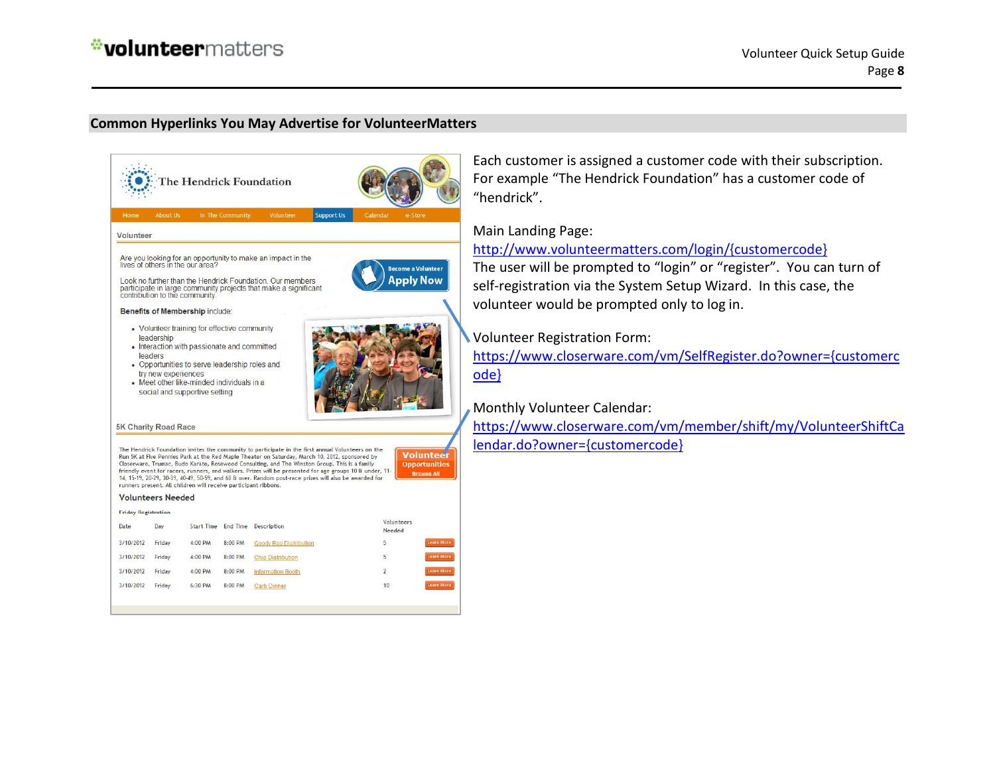#### **Common Hyperlinks You May Advertise for VolunteerMatters**



Each customer is assigned a customer code with their subscription. For example "The Hendrick Foundation" has a customer code of "hendrick".

Main Landing Page:

[http://www.volunteermatters.com/login/{customercode}](http://www.volunteermatters.com/login/%7bcustomercode%7d)

The user will be prompted to "login" or "register". You can turn of self-registration via the System Setup Wizard. In this case, the volunteer would be prompted only to log in.

Volunteer Registration Form:

[https://www.closerware.com/vm/SelfRegister.do?owner={customerc](https://www.closerware.com/vm/SelfRegister.do?owner=%7bcustomercode%7d) [ode}](https://www.closerware.com/vm/SelfRegister.do?owner=%7bcustomercode%7d)

Monthly Volunteer Calendar:

[https://www.closerware.com/vm/member/shift/my/VolunteerShiftCa](https://www.closerware.com/vm/member/shift/my/VolunteerShiftCalendar.do?owner=%7bcustomercode%7d) [lendar.do?owner={customercode}](https://www.closerware.com/vm/member/shift/my/VolunteerShiftCalendar.do?owner=%7bcustomercode%7d)